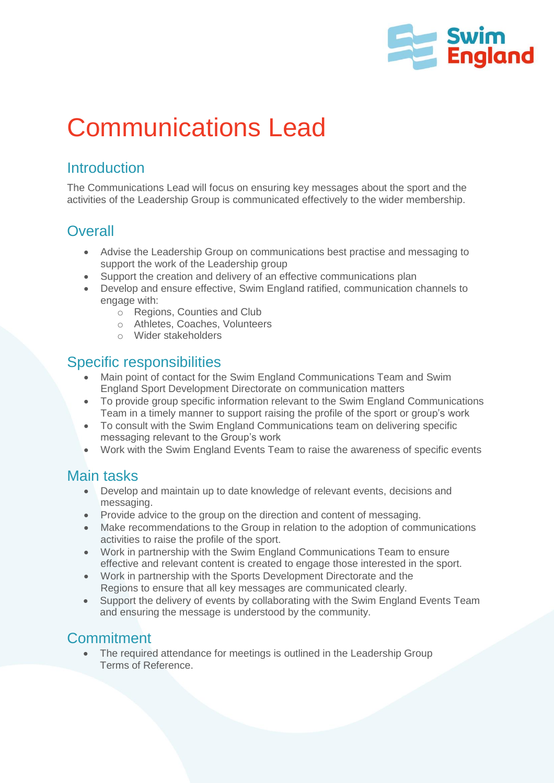

# Communications Lead

# **Introduction**

The Communications Lead will focus on ensuring key messages about the sport and the activities of the Leadership Group is communicated effectively to the wider membership.

# **Overall**

- Advise the Leadership Group on communications best practise and messaging to support the work of the Leadership group
- Support the creation and delivery of an effective communications plan
- Develop and ensure effective, Swim England ratified, communication channels to engage with:
	- o Regions, Counties and Club
	- o Athletes, Coaches, Volunteers
	- o Wider stakeholders

# Specific responsibilities

- Main point of contact for the Swim England Communications Team and Swim England Sport Development Directorate on communication matters
- To provide group specific information relevant to the Swim England Communications Team in a timely manner to support raising the profile of the sport or group's work
- To consult with the Swim England Communications team on delivering specific messaging relevant to the Group's work
- Work with the Swim England Events Team to raise the awareness of specific events

#### Main tasks

- Develop and maintain up to date knowledge of relevant events, decisions and messaging.
- Provide advice to the group on the direction and content of messaging.
- Make recommendations to the Group in relation to the adoption of communications activities to raise the profile of the sport.
- Work in partnership with the Swim England Communications Team to ensure effective and relevant content is created to engage those interested in the sport.
- Work in partnership with the Sports Development Directorate and the Regions to ensure that all key messages are communicated clearly.
- Support the delivery of events by collaborating with the Swim England Events Team and ensuring the message is understood by the community.

# **Commitment**

 The required attendance for meetings is outlined in the Leadership Group Terms of Reference.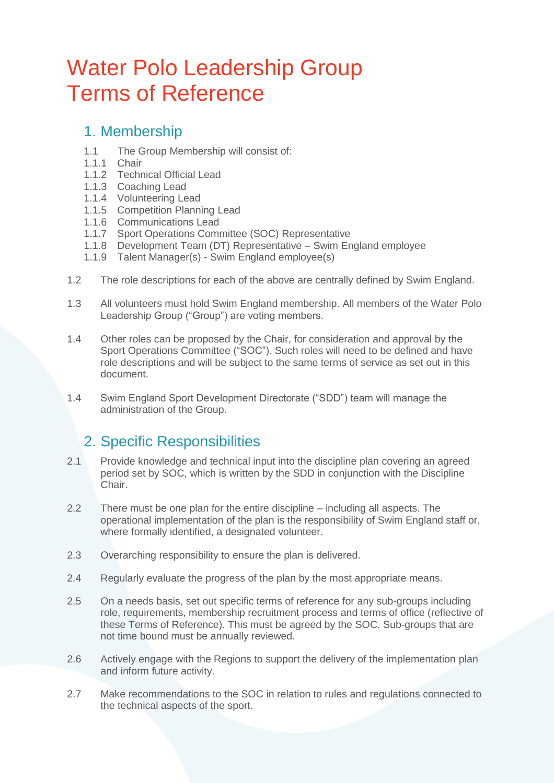# Water Polo Leadership Group Terms of Reference

#### 1. Membership

- 1.1 The Group Membership will consist of:
- 1.1.1 Chair
- 1.1.2 Technical Official Lead
- 1.1.3 Coaching Lead
- 1.1.4 Volunteering Lead
- 1.1.5 Competition Planning Lead
- 1.1.6 Communications Lead
- 1.1.7 Sport Operations Committee (SOC) Representative
- 1.1.8 Development Team (DT) Representative Swim England employee
- 1.1.9 Talent Manager(s) Swim England employee(s)
- 1.2 The role descriptions for each of the above are centrally defined by Swim England.
- 1.3 All volunteers must hold Swim England membership. All members of the Water Polo Leadership Group ("Group") are voting members.
- 1.4 Other roles can be proposed by the Chair, for consideration and approval by the Sport Operations Committee ("SOC"). Such roles will need to be defined and have role descriptions and will be subject to the same terms of service as set out in this document.
- 1.4 Swim England Sport Development Directorate ("SDD") team will manage the administration of the Group.

# 2. Specific Responsibilities

- 2.1 Provide knowledge and technical input into the discipline plan covering an agreed period set by SOC, which is written by the SDD in conjunction with the Discipline Chair.
- 2.2 There must be one plan for the entire discipline including all aspects. The operational implementation of the plan is the responsibility of Swim England staff or, where formally identified, a designated volunteer.
- 2.3 Overarching responsibility to ensure the plan is delivered.
- 2.4 Regularly evaluate the progress of the plan by the most appropriate means.
- 2.5 On a needs basis, set out specific terms of reference for any sub-groups including role, requirements, membership recruitment process and terms of office (reflective of these Terms of Reference). This must be agreed by the SOC. Sub-groups that are not time bound must be annually reviewed.
- 2.6 Actively engage with the Regions to support the delivery of the implementation plan and inform future activity.
- 2.7 Make recommendations to the SOC in relation to rules and regulations connected to the technical aspects of the sport.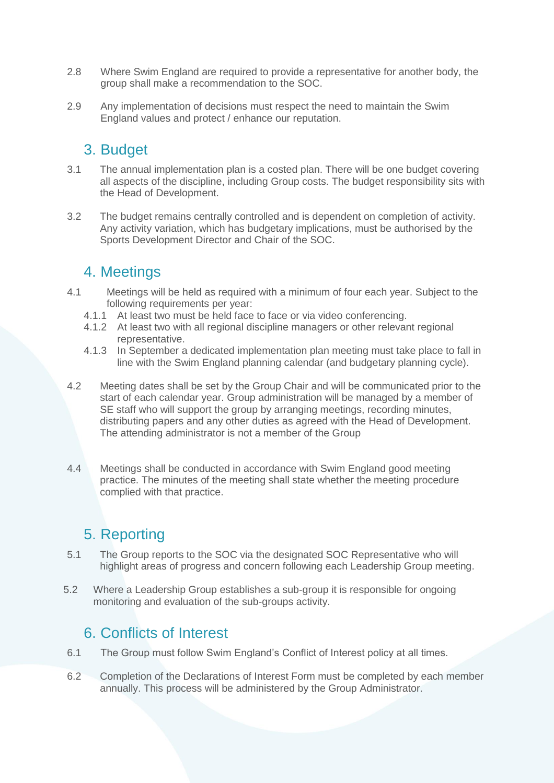- 2.8 Where Swim England are required to provide a representative for another body, the group shall make a recommendation to the SOC.
- 2.9 Any implementation of decisions must respect the need to maintain the Swim England values and protect / enhance our reputation.

#### 3. Budget

- 3.1 The annual implementation plan is a costed plan. There will be one budget covering all aspects of the discipline, including Group costs. The budget responsibility sits with the Head of Development.
- 3.2 The budget remains centrally controlled and is dependent on completion of activity. Any activity variation, which has budgetary implications, must be authorised by the Sports Development Director and Chair of the SOC.

#### 4. Meetings

- 4.1 Meetings will be held as required with a minimum of four each year. Subject to the following requirements per year:
	- 4.1.1 At least two must be held face to face or via video conferencing.
	- 4.1.2 At least two with all regional discipline managers or other relevant regional representative.
	- 4.1.3 In September a dedicated implementation plan meeting must take place to fall in line with the Swim England planning calendar (and budgetary planning cycle).
- 4.2 Meeting dates shall be set by the Group Chair and will be communicated prior to the start of each calendar year. Group administration will be managed by a member of SE staff who will support the group by arranging meetings, recording minutes, distributing papers and any other duties as agreed with the Head of Development. The attending administrator is not a member of the Group
- 4.4 Meetings shall be conducted in accordance with Swim England good meeting practice. The minutes of the meeting shall state whether the meeting procedure complied with that practice.

# 5. Reporting

- 5.1 The Group reports to the SOC via the designated SOC Representative who will highlight areas of progress and concern following each Leadership Group meeting.
- 5.2 Where a Leadership Group establishes a sub-group it is responsible for ongoing monitoring and evaluation of the sub-groups activity.

# 6. Conflicts of Interest

- 6.1 The Group must follow Swim England's Conflict of Interest policy at all times.
- 6.2 Completion of the Declarations of Interest Form must be completed by each member annually. This process will be administered by the Group Administrator.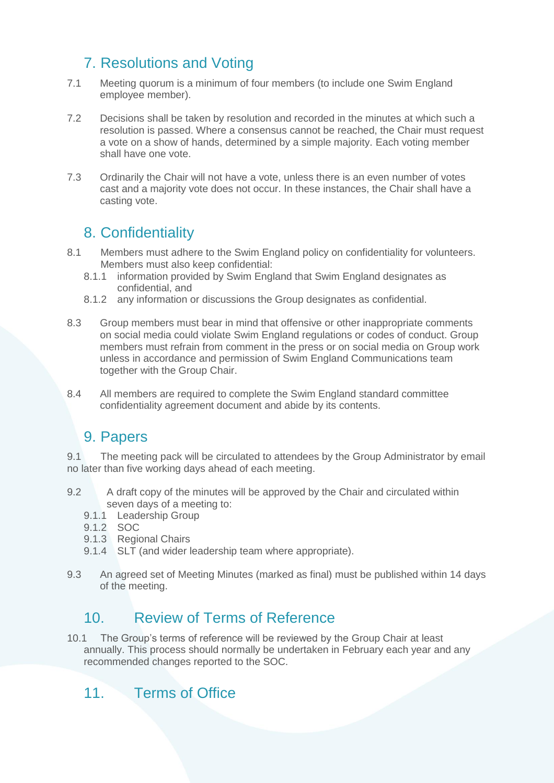# 7. Resolutions and Voting

- 7.1 Meeting quorum is a minimum of four members (to include one Swim England employee member).
- 7.2 Decisions shall be taken by resolution and recorded in the minutes at which such a resolution is passed. Where a consensus cannot be reached, the Chair must request a vote on a show of hands, determined by a simple majority. Each voting member shall have one vote.
- 7.3 Ordinarily the Chair will not have a vote, unless there is an even number of votes cast and a majority vote does not occur. In these instances, the Chair shall have a casting vote.

#### 8. Confidentiality

- 8.1 Members must adhere to the Swim England policy on confidentiality for volunteers. Members must also keep confidential:
	- 8.1.1 information provided by Swim England that Swim England designates as confidential, and
	- 8.1.2 any information or discussions the Group designates as confidential.
- 8.3 Group members must bear in mind that offensive or other inappropriate comments on social media could violate Swim England regulations or codes of conduct. Group members must refrain from comment in the press or on social media on Group work unless in accordance and permission of Swim England Communications team together with the Group Chair.
- 8.4 All members are required to complete the Swim England standard committee confidentiality agreement document and abide by its contents.

#### 9. Papers

9.1 The meeting pack will be circulated to attendees by the Group Administrator by email no later than five working days ahead of each meeting.

- 9.2 A draft copy of the minutes will be approved by the Chair and circulated within seven days of a meeting to:
	- 9.1.1 Leadership Group
	- 9.1.2 SOC
	- 9.1.3 Regional Chairs
	- 9.1.4 SLT (and wider leadership team where appropriate).
- 9.3 An agreed set of Meeting Minutes (marked as final) must be published within 14 days of the meeting.

# 10. Review of Terms of Reference

10.1 The Group's terms of reference will be reviewed by the Group Chair at least annually. This process should normally be undertaken in February each year and any recommended changes reported to the SOC.

# 11. Terms of Office